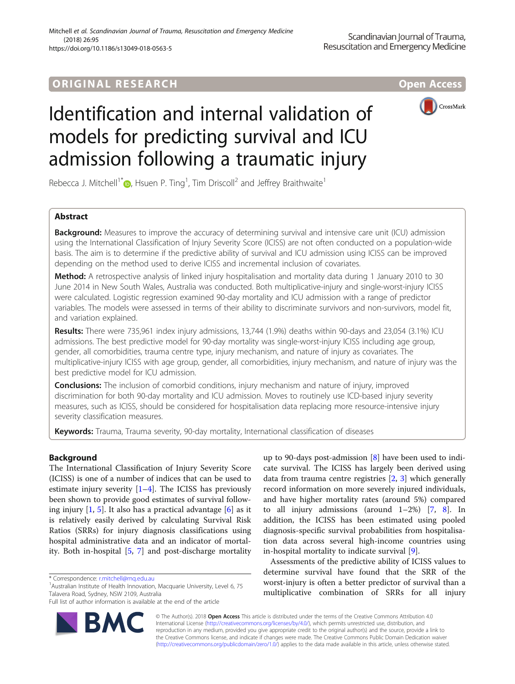# **ORIGINAL RESEARCH CONSERVERS AND LOCAL CONSERVERS**



# Identification and internal validation of models for predicting survival and ICU admission following a traumatic injury

Rebecca J. Mitchell<sup>1\*</sup> $\circledbullet$ , Hsuen P. Ting<sup>1</sup>, Tim Driscoll<sup>2</sup> and Jeffrey Braithwaite<sup>1</sup>

# Abstract

**Background:** Measures to improve the accuracy of determining survival and intensive care unit (ICU) admission using the International Classification of Injury Severity Score (ICISS) are not often conducted on a population-wide basis. The aim is to determine if the predictive ability of survival and ICU admission using ICISS can be improved depending on the method used to derive ICISS and incremental inclusion of covariates.

Method: A retrospective analysis of linked injury hospitalisation and mortality data during 1 January 2010 to 30 June 2014 in New South Wales, Australia was conducted. Both multiplicative-injury and single-worst-injury ICISS were calculated. Logistic regression examined 90-day mortality and ICU admission with a range of predictor variables. The models were assessed in terms of their ability to discriminate survivors and non-survivors, model fit, and variation explained.

Results: There were 735,961 index injury admissions, 13,744 (1.9%) deaths within 90-days and 23,054 (3.1%) ICU admissions. The best predictive model for 90-day mortality was single-worst-injury ICISS including age group, gender, all comorbidities, trauma centre type, injury mechanism, and nature of injury as covariates. The multiplicative-injury ICISS with age group, gender, all comorbidities, injury mechanism, and nature of injury was the best predictive model for ICU admission.

**Conclusions:** The inclusion of comorbid conditions, injury mechanism and nature of injury, improved discrimination for both 90-day mortality and ICU admission. Moves to routinely use ICD-based injury severity measures, such as ICISS, should be considered for hospitalisation data replacing more resource-intensive injury severity classification measures.

Keywords: Trauma, Trauma severity, 90-day mortality, International classification of diseases

# Background

The International Classification of Injury Severity Score (ICISS) is one of a number of indices that can be used to estimate injury severity  $[1-4]$  $[1-4]$  $[1-4]$  $[1-4]$ . The ICISS has previously been shown to provide good estimates of survival following injury  $\left[1, 5\right]$  $\left[1, 5\right]$  $\left[1, 5\right]$  $\left[1, 5\right]$  $\left[1, 5\right]$ . It also has a practical advantage  $\left[6\right]$  $\left[6\right]$  $\left[6\right]$  as it is relatively easily derived by calculating Survival Risk Ratios (SRRs) for injury diagnosis classifications using hospital administrative data and an indicator of mortality. Both in-hospital [[5,](#page-9-0) [7\]](#page-9-0) and post-discharge mortality

<sup>1</sup> Australian Institute of Health Innovation, Macquarie University, Level 6, 75 Talavera Road, Sydney, NSW 2109, Australia

Full list of author information is available at the end of the article



up to 90-days post-admission [\[8](#page-9-0)] have been used to indicate survival. The ICISS has largely been derived using data from trauma centre registries [[2,](#page-9-0) [3\]](#page-9-0) which generally record information on more severely injured individuals, and have higher mortality rates (around 5%) compared to all injury admissions (around  $1-2\%$ ) [[7](#page-9-0), [8](#page-9-0)]. In addition, the ICISS has been estimated using pooled diagnosis-specific survival probabilities from hospitalisation data across several high-income countries using in-hospital mortality to indicate survival [\[9](#page-9-0)].

Assessments of the predictive ability of ICISS values to determine survival have found that the SRR of the worst-injury is often a better predictor of survival than a multiplicative combination of SRRs for all injury

© The Author(s). 2018 Open Access This article is distributed under the terms of the Creative Commons Attribution 4.0 International License [\(http://creativecommons.org/licenses/by/4.0/](http://creativecommons.org/licenses/by/4.0/)), which permits unrestricted use, distribution, and reproduction in any medium, provided you give appropriate credit to the original author(s) and the source, provide a link to the Creative Commons license, and indicate if changes were made. The Creative Commons Public Domain Dedication waiver [\(http://creativecommons.org/publicdomain/zero/1.0/](http://creativecommons.org/publicdomain/zero/1.0/)) applies to the data made available in this article, unless otherwise stated.

<sup>\*</sup> Correspondence: [r.mitchell@mq.edu.au](mailto:r.mitchell@mq.edu.au) <sup>1</sup>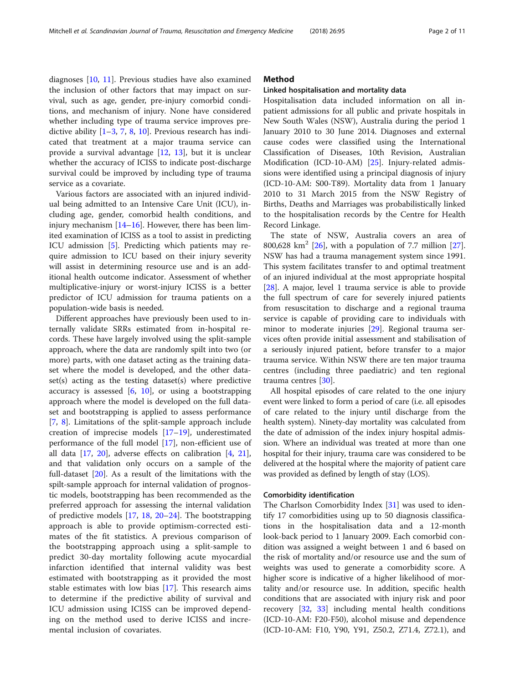diagnoses [\[10,](#page-9-0) [11\]](#page-9-0). Previous studies have also examined the inclusion of other factors that may impact on survival, such as age, gender, pre-injury comorbid conditions, and mechanism of injury. None have considered whether including type of trauma service improves predictive ability  $[1-3, 7, 8, 10]$  $[1-3, 7, 8, 10]$  $[1-3, 7, 8, 10]$  $[1-3, 7, 8, 10]$  $[1-3, 7, 8, 10]$  $[1-3, 7, 8, 10]$  $[1-3, 7, 8, 10]$  $[1-3, 7, 8, 10]$  $[1-3, 7, 8, 10]$ . Previous research has indicated that treatment at a major trauma service can provide a survival advantage [\[12](#page-9-0), [13](#page-9-0)], but it is unclear whether the accuracy of ICISS to indicate post-discharge survival could be improved by including type of trauma service as a covariate.

Various factors are associated with an injured individual being admitted to an Intensive Care Unit (ICU), including age, gender, comorbid health conditions, and injury mechanism  $[14–16]$  $[14–16]$  $[14–16]$ . However, there has been limited examination of ICISS as a tool to assist in predicting ICU admission [\[5](#page-9-0)]. Predicting which patients may require admission to ICU based on their injury severity will assist in determining resource use and is an additional health outcome indicator. Assessment of whether multiplicative-injury or worst-injury ICISS is a better predictor of ICU admission for trauma patients on a population-wide basis is needed.

Different approaches have previously been used to internally validate SRRs estimated from in-hospital records. These have largely involved using the split-sample approach, where the data are randomly spilt into two (or more) parts, with one dataset acting as the training dataset where the model is developed, and the other dataset(s) acting as the testing dataset(s) where predictive accuracy is assessed [[6,](#page-9-0) [10\]](#page-9-0), or using a bootstrapping approach where the model is developed on the full dataset and bootstrapping is applied to assess performance [[7,](#page-9-0) [8](#page-9-0)]. Limitations of the split-sample approach include creation of imprecise models [[17](#page-9-0)–[19\]](#page-9-0), underestimated performance of the full model [\[17](#page-9-0)], non-efficient use of all data [[17,](#page-9-0) [20](#page-9-0)], adverse effects on calibration [[4,](#page-9-0) [21](#page-9-0)], and that validation only occurs on a sample of the full-dataset [\[20](#page-9-0)]. As a result of the limitations with the spilt-sample approach for internal validation of prognostic models, bootstrapping has been recommended as the preferred approach for assessing the internal validation of predictive models [\[17](#page-9-0), [18,](#page-9-0) [20](#page-9-0)–[24](#page-10-0)]. The bootstrapping approach is able to provide optimism-corrected estimates of the fit statistics. A previous comparison of the bootstrapping approach using a split-sample to predict 30-day mortality following acute myocardial infarction identified that internal validity was best estimated with bootstrapping as it provided the most stable estimates with low bias [\[17](#page-9-0)]. This research aims to determine if the predictive ability of survival and ICU admission using ICISS can be improved depending on the method used to derive ICISS and incremental inclusion of covariates.

# Method

#### Linked hospitalisation and mortality data

Hospitalisation data included information on all inpatient admissions for all public and private hospitals in New South Wales (NSW), Australia during the period 1 January 2010 to 30 June 2014. Diagnoses and external cause codes were classified using the International Classification of Diseases, 10th Revision, Australian Modification (ICD-10-AM) [\[25](#page-10-0)]. Injury-related admissions were identified using a principal diagnosis of injury (ICD-10-AM: S00-T89). Mortality data from 1 January 2010 to 31 March 2015 from the NSW Registry of Births, Deaths and Marriages was probabilistically linked to the hospitalisation records by the Centre for Health Record Linkage.

The state of NSW, Australia covers an area of 800,628 km<sup>2</sup> [[26\]](#page-10-0), with a population of 7.7 million [\[27](#page-10-0)]. NSW has had a trauma management system since 1991. This system facilitates transfer to and optimal treatment of an injured individual at the most appropriate hospital [[28\]](#page-10-0). A major, level 1 trauma service is able to provide the full spectrum of care for severely injured patients from resuscitation to discharge and a regional trauma service is capable of providing care to individuals with minor to moderate injuries [\[29](#page-10-0)]. Regional trauma services often provide initial assessment and stabilisation of a seriously injured patient, before transfer to a major trauma service. Within NSW there are ten major trauma centres (including three paediatric) and ten regional trauma centres [\[30\]](#page-10-0).

All hospital episodes of care related to the one injury event were linked to form a period of care (i.e. all episodes of care related to the injury until discharge from the health system). Ninety-day mortality was calculated from the date of admission of the index injury hospital admission. Where an individual was treated at more than one hospital for their injury, trauma care was considered to be delivered at the hospital where the majority of patient care was provided as defined by length of stay (LOS).

## Comorbidity identification

The Charlson Comorbidity Index [\[31\]](#page-10-0) was used to identify 17 comorbidities using up to 50 diagnosis classifications in the hospitalisation data and a 12-month look-back period to 1 January 2009. Each comorbid condition was assigned a weight between 1 and 6 based on the risk of mortality and/or resource use and the sum of weights was used to generate a comorbidity score. A higher score is indicative of a higher likelihood of mortality and/or resource use. In addition, specific health conditions that are associated with injury risk and poor recovery [[32,](#page-10-0) [33\]](#page-10-0) including mental health conditions (ICD-10-AM: F20-F50), alcohol misuse and dependence (ICD-10-AM: F10, Y90, Y91, Z50.2, Z71.4, Z72.1), and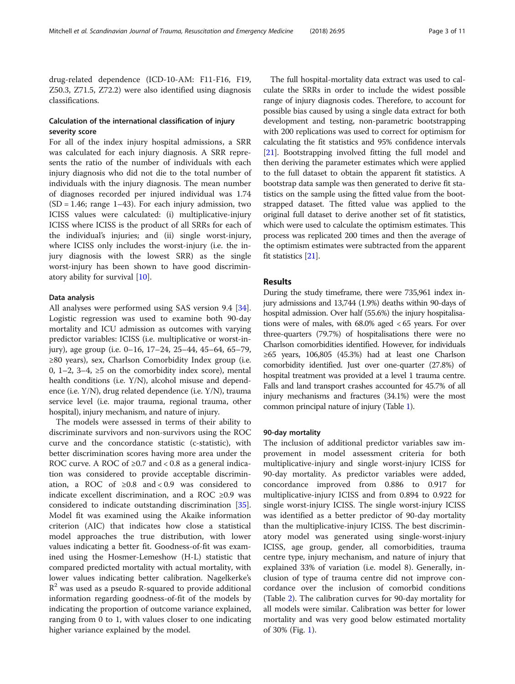drug-related dependence (ICD-10-AM: F11-F16, F19, Z50.3, Z71.5, Z72.2) were also identified using diagnosis classifications.

# Calculation of the international classification of injury severity score

For all of the index injury hospital admissions, a SRR was calculated for each injury diagnosis. A SRR represents the ratio of the number of individuals with each injury diagnosis who did not die to the total number of individuals with the injury diagnosis. The mean number of diagnoses recorded per injured individual was 1.74  $(SD = 1.46;$  range  $1-43$ ). For each injury admission, two ICISS values were calculated: (i) multiplicative-injury ICISS where ICISS is the product of all SRRs for each of the individual's injuries; and (ii) single worst-injury, where ICISS only includes the worst-injury (i.e. the injury diagnosis with the lowest SRR) as the single worst-injury has been shown to have good discriminatory ability for survival [\[10](#page-9-0)].

### Data analysis

All analyses were performed using SAS version 9.4 [\[34](#page-10-0)]. Logistic regression was used to examine both 90-day mortality and ICU admission as outcomes with varying predictor variables: ICISS (i.e. multiplicative or worst-injury), age group (i.e. 0–16, 17–24, 25–44, 45–64, 65–79, ≥80 years), sex, Charlson Comorbidity Index group (i.e. 0, 1–2, 3–4,  $\geq$ 5 on the comorbidity index score), mental health conditions (i.e. Y/N), alcohol misuse and dependence (i.e. Y/N), drug related dependence (i.e. Y/N), trauma service level (i.e. major trauma, regional trauma, other hospital), injury mechanism, and nature of injury.

The models were assessed in terms of their ability to discriminate survivors and non-survivors using the ROC curve and the concordance statistic (c-statistic), with better discrimination scores having more area under the ROC curve. A ROC of  $\geq 0.7$  and  $< 0.8$  as a general indication was considered to provide acceptable discrimination, a ROC of  $\geq 0.8$  and < 0.9 was considered to indicate excellent discrimination, and a ROC ≥0.9 was considered to indicate outstanding discrimination [\[35](#page-10-0)]. Model fit was examined using the Akaike information criterion (AIC) that indicates how close a statistical model approaches the true distribution, with lower values indicating a better fit. Goodness-of-fit was examined using the Hosmer-Lemeshow (H-L) statistic that compared predicted mortality with actual mortality, with lower values indicating better calibration. Nagelkerke's  $R<sup>2</sup>$  was used as a pseudo R-squared to provide additional information regarding goodness-of-fit of the models by indicating the proportion of outcome variance explained, ranging from 0 to 1, with values closer to one indicating higher variance explained by the model.

The full hospital-mortality data extract was used to calculate the SRRs in order to include the widest possible range of injury diagnosis codes. Therefore, to account for possible bias caused by using a single data extract for both development and testing, non-parametric bootstrapping with 200 replications was used to correct for optimism for calculating the fit statistics and 95% confidence intervals [[21](#page-9-0)]. Bootstrapping involved fitting the full model and then deriving the parameter estimates which were applied to the full dataset to obtain the apparent fit statistics. A bootstrap data sample was then generated to derive fit statistics on the sample using the fitted value from the bootstrapped dataset. The fitted value was applied to the original full dataset to derive another set of fit statistics, which were used to calculate the optimism estimates. This process was replicated 200 times and then the average of the optimism estimates were subtracted from the apparent fit statistics [\[21](#page-9-0)].

## Results

During the study timeframe, there were 735,961 index injury admissions and 13,744 (1.9%) deaths within 90-days of hospital admission. Over half (55.6%) the injury hospitalisations were of males, with 68.0% aged < 65 years. For over three-quarters (79.7%) of hospitalisations there were no Charlson comorbidities identified. However, for individuals ≥65 years, 106,805 (45.3%) had at least one Charlson comorbidity identified. Just over one-quarter (27.8%) of hospital treatment was provided at a level 1 trauma centre. Falls and land transport crashes accounted for 45.7% of all injury mechanisms and fractures (34.1%) were the most common principal nature of injury (Table [1\)](#page-3-0).

#### 90-day mortality

The inclusion of additional predictor variables saw improvement in model assessment criteria for both multiplicative-injury and single worst-injury ICISS for 90-day mortality. As predictor variables were added, concordance improved from 0.886 to 0.917 for multiplicative-injury ICISS and from 0.894 to 0.922 for single worst-injury ICISS. The single worst-injury ICISS was identified as a better predictor of 90-day mortality than the multiplicative-injury ICISS. The best discriminatory model was generated using single-worst-injury ICISS, age group, gender, all comorbidities, trauma centre type, injury mechanism, and nature of injury that explained 33% of variation (i.e. model 8). Generally, inclusion of type of trauma centre did not improve concordance over the inclusion of comorbid conditions (Table [2](#page-5-0)). The calibration curves for 90-day mortality for all models were similar. Calibration was better for lower mortality and was very good below estimated mortality of 30% (Fig. [1\)](#page-6-0).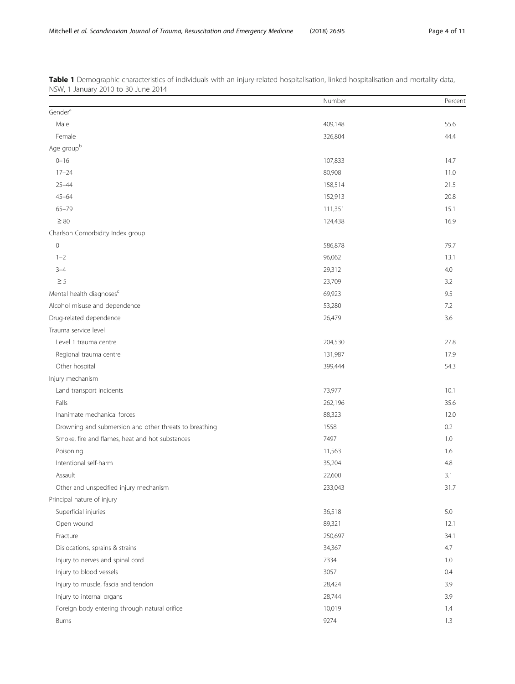|                                                        | Number  | Percent |
|--------------------------------------------------------|---------|---------|
| Gender <sup>a</sup>                                    |         |         |
| Male                                                   | 409,148 | 55.6    |
| Female                                                 | 326,804 | 44.4    |
| Age group <sup>b</sup>                                 |         |         |
| $0 - 16$                                               | 107,833 | 14.7    |
| $17 - 24$                                              | 80,908  | 11.0    |
| $25 - 44$                                              | 158,514 | 21.5    |
| $45 - 64$                                              | 152,913 | 20.8    |
| $65 - 79$                                              | 111,351 | 15.1    |
| $\geq 80$                                              | 124,438 | 16.9    |
| Charlson Comorbidity Index group                       |         |         |
| 0                                                      | 586,878 | 79.7    |
| $1 - 2$                                                | 96,062  | 13.1    |
| $3 - 4$                                                | 29,312  | 4.0     |
| $\geq$ 5                                               | 23,709  | 3.2     |
| Mental health diagnoses <sup>c</sup>                   | 69,923  | 9.5     |
| Alcohol misuse and dependence                          | 53,280  | 7.2     |
| Drug-related dependence                                | 26,479  | 3.6     |
| Trauma service level                                   |         |         |
| Level 1 trauma centre                                  | 204,530 | 27.8    |
| Regional trauma centre                                 | 131,987 | 17.9    |
| Other hospital                                         | 399,444 | 54.3    |
| Injury mechanism                                       |         |         |
| Land transport incidents                               | 73,977  | 10.1    |
| Falls                                                  | 262,196 | 35.6    |
| Inanimate mechanical forces                            | 88,323  | 12.0    |
| Drowning and submersion and other threats to breathing | 1558    | 0.2     |
| Smoke, fire and flames, heat and hot substances        | 7497    | 1.0     |
| Poisoning                                              | 11,563  | 1.6     |
| Intentional self-harm                                  | 35,204  | 4.8     |
| Assault                                                | 22,600  | 3.1     |
| Other and unspecified injury mechanism                 | 233,043 | 31.7    |
| Principal nature of injury                             |         |         |
| Superficial injuries                                   | 36,518  | $5.0\,$ |
| Open wound                                             | 89,321  | 12.1    |
| Fracture                                               | 250,697 | 34.1    |
| Dislocations, sprains & strains                        | 34,367  | 4.7     |
| Injury to nerves and spinal cord                       | 7334    | 1.0     |
| Injury to blood vessels                                | 3057    | 0.4     |
| Injury to muscle, fascia and tendon                    | 28,424  | 3.9     |
| Injury to internal organs                              | 28,744  | 3.9     |
| Foreign body entering through natural orifice          | 10,019  | 1.4     |
| Burns                                                  | 9274    | 1.3     |

<span id="page-3-0"></span>Table 1 Demographic characteristics of individuals with an injury-related hospitalisation, linked hospitalisation and mortality data, NSW, 1 January 2010 to 30 June 2014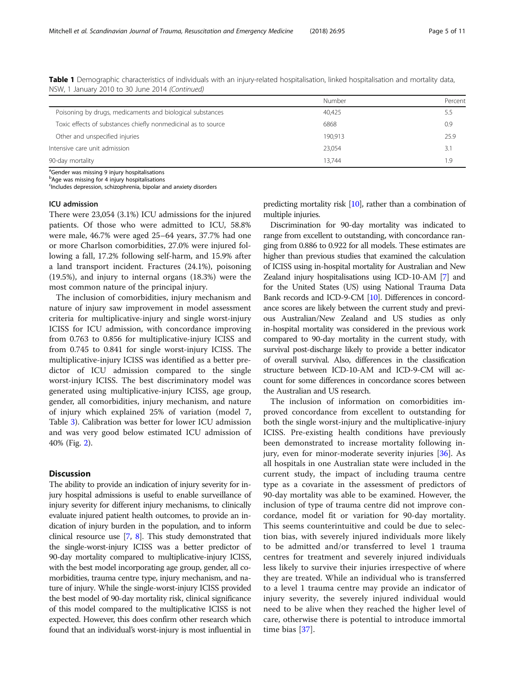| NSW, 1 January 2010 to 30 June 2014 (Continued)               |         |         |
|---------------------------------------------------------------|---------|---------|
|                                                               | Number  | Percent |
| Poisoning by drugs, medicaments and biological substances     | 40.425  | 5.5     |
| Toxic effects of substances chiefly nonmedicinal as to source | 6868    | 0.9     |
| Other and unspecified injuries                                | 190.913 | 25.9    |
| Intensive care unit admission                                 | 23,054  | 3.1     |
| 90-day mortality                                              | 13.744  | 1.9     |

Table 1 Demographic characteristics of individuals with an injury-related hospitalisation, linked hospitalisation and mortality data, NSW, 1 January 2010 to 30 June 2014 (Continued)

<sup>a</sup>Gender was missing 9 injury hospitalisations

<sup>b</sup>Age was missing for 4 injury hospitalisations

<sup>c</sup>Includes depression, schizophrenia, bipolar and anxiety disorders

#### ICU admission

There were 23,054 (3.1%) ICU admissions for the injured patients. Of those who were admitted to ICU, 58.8% were male, 46.7% were aged 25–64 years, 37.7% had one or more Charlson comorbidities, 27.0% were injured following a fall, 17.2% following self-harm, and 15.9% after a land transport incident. Fractures (24.1%), poisoning (19.5%), and injury to internal organs (18.3%) were the most common nature of the principal injury.

The inclusion of comorbidities, injury mechanism and nature of injury saw improvement in model assessment criteria for multiplicative-injury and single worst-injury ICISS for ICU admission, with concordance improving from 0.763 to 0.856 for multiplicative-injury ICISS and from 0.745 to 0.841 for single worst-injury ICISS. The multiplicative-injury ICISS was identified as a better predictor of ICU admission compared to the single worst-injury ICISS. The best discriminatory model was generated using multiplicative-injury ICISS, age group, gender, all comorbidities, injury mechanism, and nature of injury which explained 25% of variation (model 7, Table [3\)](#page-7-0). Calibration was better for lower ICU admission and was very good below estimated ICU admission of 40% (Fig. [2\)](#page-8-0).

# **Discussion**

The ability to provide an indication of injury severity for injury hospital admissions is useful to enable surveillance of injury severity for different injury mechanisms, to clinically evaluate injured patient health outcomes, to provide an indication of injury burden in the population, and to inform clinical resource use [[7](#page-9-0), [8](#page-9-0)]. This study demonstrated that the single-worst-injury ICISS was a better predictor of 90-day mortality compared to multiplicative-injury ICISS, with the best model incorporating age group, gender, all comorbidities, trauma centre type, injury mechanism, and nature of injury. While the single-worst-injury ICISS provided the best model of 90-day mortality risk, clinical significance of this model compared to the multiplicative ICISS is not expected. However, this does confirm other research which found that an individual's worst-injury is most influential in predicting mortality risk [\[10\]](#page-9-0), rather than a combination of multiple injuries.

Discrimination for 90-day mortality was indicated to range from excellent to outstanding, with concordance ranging from 0.886 to 0.922 for all models. These estimates are higher than previous studies that examined the calculation of ICISS using in-hospital mortality for Australian and New Zealand injury hospitalisations using ICD-10-AM [\[7\]](#page-9-0) and for the United States (US) using National Trauma Data Bank records and ICD-9-CM [\[10\]](#page-9-0). Differences in concordance scores are likely between the current study and previous Australian/New Zealand and US studies as only in-hospital mortality was considered in the previous work compared to 90-day mortality in the current study, with survival post-discharge likely to provide a better indicator of overall survival. Also, differences in the classification structure between ICD-10-AM and ICD-9-CM will account for some differences in concordance scores between the Australian and US research.

The inclusion of information on comorbidities improved concordance from excellent to outstanding for both the single worst-injury and the multiplicative-injury ICISS. Pre-existing health conditions have previously been demonstrated to increase mortality following injury, even for minor-moderate severity injuries [[36](#page-10-0)]. As all hospitals in one Australian state were included in the current study, the impact of including trauma centre type as a covariate in the assessment of predictors of 90-day mortality was able to be examined. However, the inclusion of type of trauma centre did not improve concordance, model fit or variation for 90-day mortality. This seems counterintuitive and could be due to selection bias, with severely injured individuals more likely to be admitted and/or transferred to level 1 trauma centres for treatment and severely injured individuals less likely to survive their injuries irrespective of where they are treated. While an individual who is transferred to a level 1 trauma centre may provide an indicator of injury severity, the severely injured individual would need to be alive when they reached the higher level of care, otherwise there is potential to introduce immortal time bias [[37\]](#page-10-0).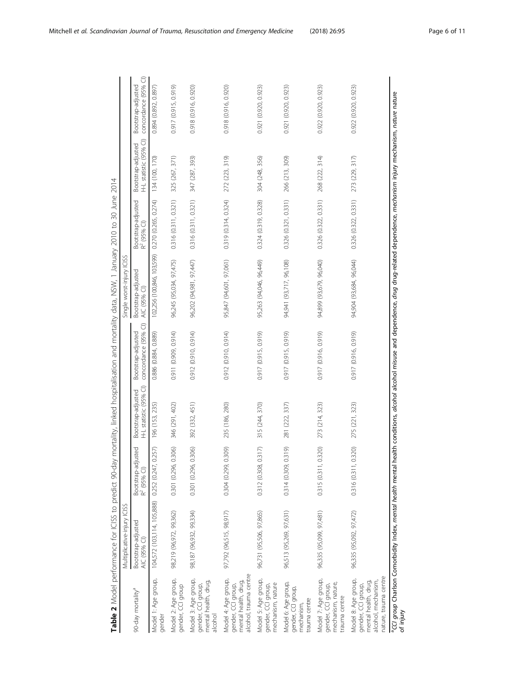|                                                                                                                  | <b>I GIVE A</b> IMPORTANT AND THE STATES OF THE STATES OF THE STATES OF THE STATES OF THE STATES OF THE STATES OF THE STATES OF THE STATES OF THE STATES OF THE STATES OF THE STATES OF THE STATES OF THE STATES OF THE STATES OF T |                                               |                                              |                                            |                                                                                                                                   |                                               |                                              |                                                              |
|------------------------------------------------------------------------------------------------------------------|-------------------------------------------------------------------------------------------------------------------------------------------------------------------------------------------------------------------------------------|-----------------------------------------------|----------------------------------------------|--------------------------------------------|-----------------------------------------------------------------------------------------------------------------------------------|-----------------------------------------------|----------------------------------------------|--------------------------------------------------------------|
|                                                                                                                  | Multiplicative-injury ICISS                                                                                                                                                                                                         |                                               |                                              |                                            | Single worst-injury ICISS                                                                                                         |                                               |                                              |                                                              |
| 90-day mortality <sup>a</sup>                                                                                    | Bootstrap-adjusted<br>AIC (95% CI)                                                                                                                                                                                                  | Bootstrap-adjusted<br>R <sup>2</sup> (95% CI) | H-L statistic (95% CI)<br>Bootstrap-adjusted | concordance (95% CI)<br>Bootstrap-adjusted | Bootstrap-adjusted<br>AIC (95% CI)                                                                                                | Bootstrap-adjusted<br>R <sup>2</sup> (95% Cl) | H-L statistic (95% CI)<br>Bootstrap-adjusted | $\widehat{\sigma}$<br>concordance (95%<br>Bootstrap-adjusted |
| Model 1: Age group,<br>qender                                                                                    | 104,572 (103,114, 105,888) 0.252 (0.247, 0.257)                                                                                                                                                                                     |                                               | 196 (153, 235)                               | 0.886 (0.884, 0.889)                       | 102,256 (100,846, 103,599)                                                                                                        | 0.270 (0.265, 0.274)                          | 134 (100, 170)                               | 0.894 (0.892, 0.897)                                         |
| Model 2: Age group,<br>gender, CCI group                                                                         | 98,219 (96,972, 99,362)                                                                                                                                                                                                             | 0.306<br>0.301 (0.296,                        | 346 (291, 402)                               | 0.911 (0.909, 0.914)                       | 96,245 (95,034, 97,475)                                                                                                           | 0.316 (0.311, 0.321)                          | 325 (267, 371)                               | 0.917 (0.915, 0.919)                                         |
| Model 3: Age group,<br>gender, CCI group,<br>mental health, drug,<br>alcohol                                     | 98,187 (96,932, 99,334)                                                                                                                                                                                                             | 0.301 (0.296, 0.306)                          | 392 (332, 451)                               | 0.912 (0.910, 0.914)                       | 96,202 (94,981, 97,447)                                                                                                           | 0.316 (0.311, 0.321)                          | 347 (287, 393)                               | 0.918 (0.916, 0.920)                                         |
| alcohol, trauma centre<br>Model 4: Age group,<br>mental health, drug,<br>gender, CCI group,                      | 97,792 (96,515, 98,917)                                                                                                                                                                                                             | 0.309<br>0.304 (0.299,                        | 235 (186, 280)                               | 0.912 (0.910, 0.914)                       | 95,847 (94,601, 97,061)                                                                                                           | 0.319(0.314, 0.324)                           | 272 (223, 319)                               | 0.918 (0.916, 0.920)                                         |
| Model 5: Age group,<br>mechanism, nature<br>gender, CCI group,                                                   | 96,731 (95,506, 97,865)                                                                                                                                                                                                             | 0.317<br>0.312 (0.308,                        | 315 (244, 370)                               | 0.917 (0.915, 0.919)                       | 95,263 (94,046, 96,449)                                                                                                           | 0.324 (0.319, 0.328)                          | 304 (248, 356)                               | 0.921 (0.920, 0.923)                                         |
| Model 6: Age group,<br>gender, CCI group,<br>trauma centre<br>mechanism,                                         | 96,513 (95,269, 97,631)                                                                                                                                                                                                             | 0.319<br>0.314 (0.309,                        | 281 (222, 337)                               | 0.917 (0.915, 0.919)                       | 94,941 (93,717, 96,108)                                                                                                           | 0.326 (0.321, 0.331)                          | 266 (213, 309)                               | 0.921 (0.920, 0.923)                                         |
| Model 7: Age group,<br>mechanism, nature,<br>gender, CCI group,<br>trauma centre                                 | 96,335 (95,099, 97,481)                                                                                                                                                                                                             | 0.320<br>0.315 (0.311,                        | 273 (214, 323)                               | 0.917 (0.916, 0.919)                       | 94,899 (93,679, 96,040)                                                                                                           | 0.326 (0.322, 0.331)                          | 268 (222, 314)                               | 0.922 (0.920, 0.923)                                         |
| nature, trauma centre<br>Model 8: Age group,<br>mental health, drug,<br>alcohol, mechanism<br>gender, CCI group, | 96,335 (95,092, 97,472)                                                                                                                                                                                                             | 0.320<br>0.316 (0.311,                        | 275 (221, 323)                               | 0.917 (0.916, 0.919)                       | 94,904 (93,684, 96,044)                                                                                                           | 0.326 (0.322, 0.331)                          | 273 (229, 317)                               | 0.922 (0.920, 0.923)                                         |
| of injury                                                                                                        | aCCI group Charlson Comorbidity Index, mental health mental                                                                                                                                                                         |                                               |                                              |                                            | health conditions, alcohol alcohol misuse and dependence, drug drug-related dependence, mechanism injury mechanism, nature nature |                                               |                                              |                                                              |

Aniany 2010 to 30 line 2014 Table 2 Model performance for ICISS to predict 90-day mortality, linked hospitalisation and mortality data, NSW, 1 January 2010 to 30 June 2014 mortality data NSW 1 لم<br>م ortality linked hosnitalisation  $\sum_{i=1}^{n}$ nredict OD-day  $\tilde{c}$  $for$  ICISS  $\frac{1}{2}$ è ξ, Table 2 Model perfo

<span id="page-5-0"></span>Mitchell et al. Scandinavian Journal of Trauma, Resuscitation and Emergency Medicine (2018) 26:95 Page 6 of 11

<sup>a</sup>CCI group Charlson Comorbidity Index, mental health conditions, alcohol alcohol misuse and dependence, drug-related dependence, mechanism injury mechanism, nature ă<br>8 related arug arug ຍັ J aeper ă ᇦ ₫ ò ē ā ē  $\frac{1}{2}$ 5 Ĕ ≘ yinou  $\overline{5}$ ້ອຸ lson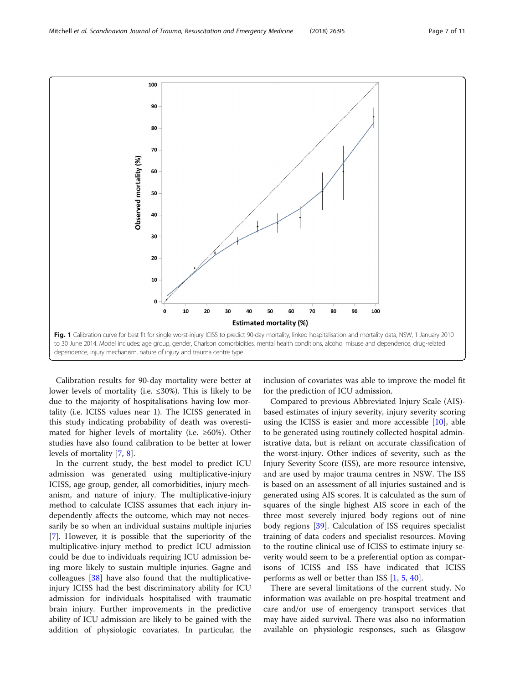<span id="page-6-0"></span>

Calibration results for 90-day mortality were better at lower levels of mortality (i.e. ≤30%). This is likely to be due to the majority of hospitalisations having low mortality (i.e. ICISS values near 1). The ICISS generated in this study indicating probability of death was overestimated for higher levels of mortality (i.e. ≥60%). Other studies have also found calibration to be better at lower levels of mortality [\[7](#page-9-0), [8](#page-9-0)].

In the current study, the best model to predict ICU admission was generated using multiplicative-injury ICISS, age group, gender, all comorbidities, injury mechanism, and nature of injury. The multiplicative-injury method to calculate ICISS assumes that each injury independently affects the outcome, which may not necessarily be so when an individual sustains multiple injuries [[7\]](#page-9-0). However, it is possible that the superiority of the multiplicative-injury method to predict ICU admission could be due to individuals requiring ICU admission being more likely to sustain multiple injuries. Gagne and colleagues [[38\]](#page-10-0) have also found that the multiplicativeinjury ICISS had the best discriminatory ability for ICU admission for individuals hospitalised with traumatic brain injury. Further improvements in the predictive ability of ICU admission are likely to be gained with the addition of physiologic covariates. In particular, the

inclusion of covariates was able to improve the model fit for the prediction of ICU admission.

Compared to previous Abbreviated Injury Scale (AIS) based estimates of injury severity, injury severity scoring using the ICISS is easier and more accessible  $[10]$ , able to be generated using routinely collected hospital administrative data, but is reliant on accurate classification of the worst-injury. Other indices of severity, such as the Injury Severity Score (ISS), are more resource intensive, and are used by major trauma centres in NSW. The ISS is based on an assessment of all injuries sustained and is generated using AIS scores. It is calculated as the sum of squares of the single highest AIS score in each of the three most severely injured body regions out of nine body regions [\[39](#page-10-0)]. Calculation of ISS requires specialist training of data coders and specialist resources. Moving to the routine clinical use of ICISS to estimate injury severity would seem to be a preferential option as comparisons of ICISS and ISS have indicated that ICISS performs as well or better than ISS [\[1](#page-9-0), [5](#page-9-0), [40](#page-10-0)].

There are several limitations of the current study. No information was available on pre-hospital treatment and care and/or use of emergency transport services that may have aided survival. There was also no information available on physiologic responses, such as Glasgow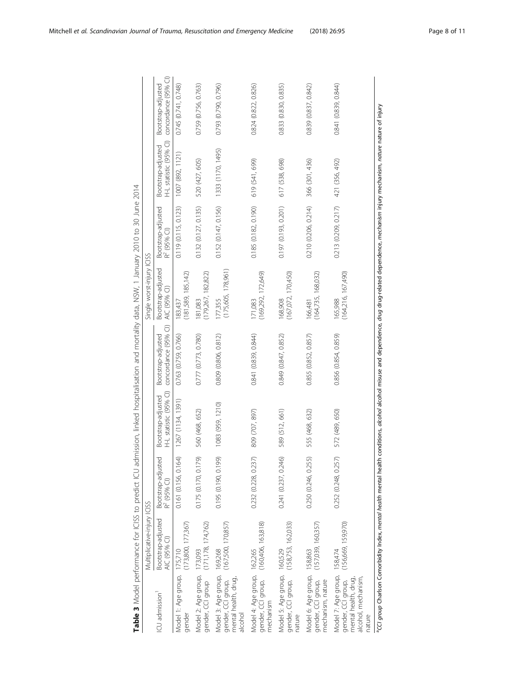<span id="page-7-0"></span>

|                                                                                                           | Multiplicative-injury ICISS        |                                               |                                              |                                            | Single worst-injury ICISS          |                                               |                                              |                                            |
|-----------------------------------------------------------------------------------------------------------|------------------------------------|-----------------------------------------------|----------------------------------------------|--------------------------------------------|------------------------------------|-----------------------------------------------|----------------------------------------------|--------------------------------------------|
| CU admission                                                                                              | Bootstrap-adjusted<br>AIC (95% CI) | Bootstrap-adjusted<br>R <sup>2</sup> (95% Cl) | H-L statistic (95% CI)<br>Bootstrap-adjusted | concordance (95% CI)<br>Bootstrap-adjusted | Bootstrap-adjusted<br>AIC (95% CI) | Bootstrap-adjusted<br>R <sup>2</sup> (95% Cl) | H-L statistic (95% CI)<br>Bootstrap-adjusted | concordance (95% CI)<br>Bootstrap-adjusted |
| Model 1: Age group, 175,710<br>qender                                                                     | (173,800, 177,367)                 | 0.161 (0.156, 0.164)                          | 1267 (1134, 1391)                            | 0.763 (0.759, 0.766)                       | (181,589, 185,142)<br>183,437      | 0.119 (0.115, 0.123)                          | 1007 (892, 1121)                             | 0.745 (0.741, 0.748)                       |
| Model 2: Age group, 173,093<br>gender, CCI group                                                          | (171, 178, 174, 762)               | 0.175 (0.170, 0.179)                          | 560 (468, 652)                               | 0.777 (0.773, 0.780)                       | (179,267, 182,822)<br>181,083      | 0.132 (0.127, 0.135)                          | 520 (427, 605)                               | 0.759 (0.756, 0.763)                       |
| Model 3: Age group, 169,268<br>gender, CCI group,<br>mental health, drug,<br>alcohol                      | (167,500, 170,857)                 | 0.195 (0.190, 0.199)                          | 1083 (959, 1210)                             | 0.809 (0.806, 0.812)                       | (175,605, 178,961)<br>177,355      | 0.152 (0.147, 0.156)                          | 1333 (1170, 1495)                            | 0.793 (0.790, 0.796)                       |
| Model 4: Age group, 162,265<br>gender, CCI group,<br>mechanism                                            | (160,406, 163,818)                 | 0.232 (0.228, 0.237)                          | 809 (707, 897)                               | 0.841 (0.839, 0.844)                       | (169,292, 172,649)<br>171,083      | 0.185 (0.182, 0.190)                          | 619 (541, 699)                               | 0.824 (0.822, 0.826)                       |
| Model 5: Age group, 160,529<br>gender, CCI group,<br>nature                                               | (158,753, 162,033)                 | 0.241 (0.237, 0.246)                          | 589 (512, 661)                               | 0.849 (0.847, 0.852)                       | (167,072, 170,450)<br>168,908      | 0.197 (0.193, 0.201)                          | 617 (538, 698)                               | 0.833 (0.830, 0.835)                       |
| Model 6: Age group, 158,863<br>mechanism, nature<br>gender, CCI group,                                    | (157,039, 160,357)                 | 0.250 (0.246, 0.255)                          | 555 (468, 632)                               | 0.855 (0.852, 0.857)                       | (164, 735, 168, 032)<br>166,481    | 0.210 (0.206, 0.214)                          | 366 (301, 436)                               | 0.839 (0.837, 0.842)                       |
| Model 7: Age group, 158,474<br>mental health, drug,<br>alcohol, mechanism<br>gender, CCI group,<br>hature | (156, 669, 159, 970)               | 0.252 (0.248, 0.257)                          | 572 (489, 650)                               | 0.856 (0.854, 0.859)                       | (164,216, 167,490)<br>165,988      | 0.213 (0.209, 0.217)                          | 421 (356, 492)                               | 0.841 (0.839, 0.844)                       |
|                                                                                                           |                                    |                                               |                                              |                                            |                                    |                                               |                                              |                                            |

Table 3 Model performance for ICISS to predict ICU admission, linked hospitalisation and mortality data, NSW, 1 January 2010 to 30 June 2014 Table 3 Model performance for ICISS to predict ICU admission, linked hospitalisation and mortality data, NSW, 1 January 2010 to 30 June 2014

°CCl group Charlson Comorbidity Index, mental health mental health conditions, alcohol alcohol alcohol misuse and dependence, arug-related dependence, mechanism injury mechanism, nature nature of injury <sup>a</sup>CCI group Charlson Comorbidity Index, mental health mental health conditions, alcohol alcohol misuse and dependence, drug-related dependence, mechanism injury mechanism, nature nature of injury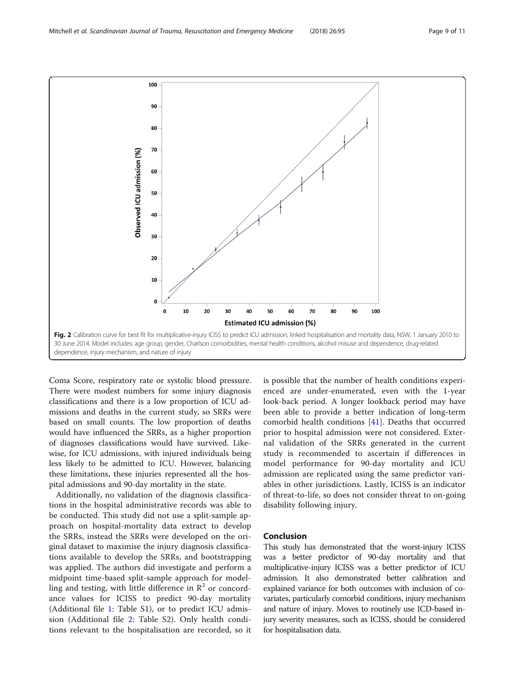<span id="page-8-0"></span>

Coma Score, respiratory rate or systolic blood pressure. There were modest numbers for some injury diagnosis classifications and there is a low proportion of ICU admissions and deaths in the current study, so SRRs were based on small counts. The low proportion of deaths would have influenced the SRRs, as a higher proportion of diagnoses classifications would have survived. Likewise, for ICU admissions, with injured individuals being less likely to be admitted to ICU. However, balancing these limitations, these injuries represented all the hospital admissions and 90-day mortality in the state.

Additionally, no validation of the diagnosis classifications in the hospital administrative records was able to be conducted. This study did not use a split-sample approach on hospital-mortality data extract to develop the SRRs, instead the SRRs were developed on the original dataset to maximise the injury diagnosis classifications available to develop the SRRs, and bootstrapping was applied. The authors did investigate and perform a midpoint time-based split-sample approach for modelling and testing, with little difference in  $\mathbb{R}^2$  or concordance values for ICISS to predict 90-day mortality (Additional file [1:](#page-9-0) Table S1), or to predict ICU admission (Additional file [2](#page-9-0): Table S2). Only health conditions relevant to the hospitalisation are recorded, so it

is possible that the number of health conditions experienced are under-enumerated, even with the 1-year look-back period. A longer lookback period may have been able to provide a better indication of long-term comorbid health conditions [\[41](#page-10-0)]. Deaths that occurred prior to hospital admission were not considered. External validation of the SRRs generated in the current study is recommended to ascertain if differences in model performance for 90-day mortality and ICU admission are replicated using the same predictor variables in other jurisdictions. Lastly, ICISS is an indicator of threat-to-life, so does not consider threat to on-going disability following injury.

# Conclusion

This study has demonstrated that the worst-injury ICISS was a better predictor of 90-day mortality and that multiplicative-injury ICISS was a better predictor of ICU admission. It also demonstrated better calibration and explained variance for both outcomes with inclusion of covariates, particularly comorbid conditions, injury mechanism and nature of injury. Moves to routinely use ICD-based injury severity measures, such as ICISS, should be considered for hospitalisation data.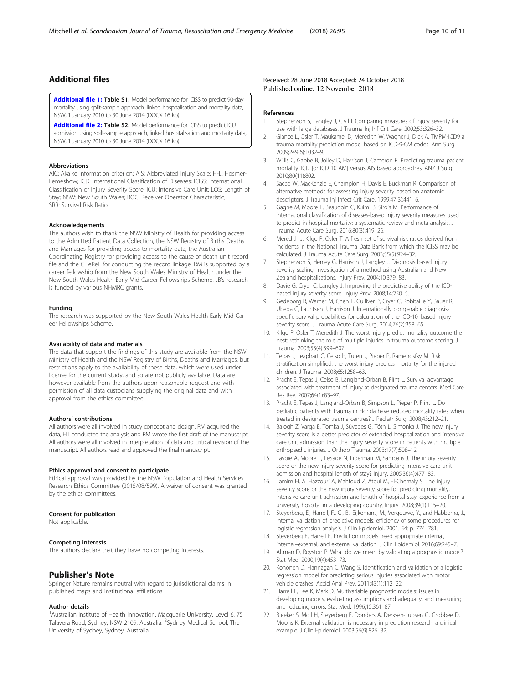# <span id="page-9-0"></span>Additional files

[Additional file 1:](https://doi.org/10.1186/s13049-018-0563-5) Table S1. Model performance for ICISS to predict 90-day mortality using split-sample approach, linked hospitalisation and mortality data, NSW, 1 January 2010 to 30 June 2014 (DOCX 16 kb)

[Additional file 2:](https://doi.org/10.1186/s13049-018-0563-5) Table S2. Model performance for ICISS to predict ICU admission using spilt-sample approach, linked hospitalisation and mortality data, NSW, 1 January 2010 to 30 June 2014 (DOCX 16 kb)

#### Abbreviations

AIC: Akaike information criterion; AIS: Abbreviated Injury Scale; H-L: Hosmer-Lemeshow; ICD: International Classification of Diseases; ICISS: International Classification of Injury Severity Score; ICU: Intensive Care Unit; LOS: Length of Stay; NSW: New South Wales; ROC: Receiver Operator Characteristic; SRR: Survival Risk Ratio

#### Acknowledgements

The authors wish to thank the NSW Ministry of Health for providing access to the Admitted Patient Data Collection, the NSW Registry of Births Deaths and Marriages for providing access to mortality data, the Australian Coordinating Registry for providing access to the cause of death unit record file and the CHeReL for conducting the record linkage. RM is supported by a career fellowship from the New South Wales Ministry of Health under the New South Wales Health Early-Mid Career Fellowships Scheme. JB's research is funded by various NHMRC grants.

#### Funding

The research was supported by the New South Wales Health Early-Mid Career Fellowships Scheme.

#### Availability of data and materials

The data that support the findings of this study are available from the NSW Ministry of Health and the NSW Registry of Births, Deaths and Marriages, but restrictions apply to the availability of these data, which were used under license for the current study, and so are not publicly available. Data are however available from the authors upon reasonable request and with permission of all data custodians supplying the original data and with approval from the ethics committee.

#### Authors' contributions

All authors were all involved in study concept and design. RM acquired the data, HT conducted the analysis and RM wrote the first draft of the manuscript. All authors were all involved in interpretation of data and critical revision of the manuscript. All authors read and approved the final manuscript.

#### Ethics approval and consent to participate

Ethical approval was provided by the NSW Population and Health Services Research Ethics Committee (2015/08/599). A waiver of consent was granted by the ethics committees.

#### Consent for publication

Not applicable.

#### Competing interests

The authors declare that they have no competing interests.

# Publisher's Note

Springer Nature remains neutral with regard to jurisdictional claims in published maps and institutional affiliations.

#### Author details

<sup>1</sup> Australian Institute of Health Innovation, Macquarie University, Level 6, 75 Talavera Road, Sydney, NSW 2109, Australia. <sup>2</sup>Sydney Medical School, The University of Sydney, Sydney, Australia.

Received: 28 June 2018 Accepted: 24 October 2018 Published online: 12 November 2018

#### References

- 1. Stephenson S, Langley J, Civil I. Comparing measures of injury severity for use with large databases. J Trauma Inj Inf Crit Care. 2002;53:326–32.
- 2. Glance L, Osler T, Maukamel D, Meredith W, Wagner J, Dick A. TMPM-ICD9 a trauma mortality prediction model based on ICD-9-CM codes. Ann Surg. 2009;249(6):1032–9.
- 3. Willis C, Gabbe B, Jolley D, Harrison J, Cameron P. Predicting trauma patient mortality: ICD [or ICD 10 AM] versus AIS based approaches. ANZ J Surg. 2010;80(11):802.
- 4. Sacco W, MacKenzie E, Champion H, Davis E, Buckman R. Comparison of alternative methods for assessing injury severity based on anatomic descriptors. J Trauma Inj Infect Crit Care. 1999;47(3):441–6.
- 5. Gagne M, Moore L, Beaudoin C, Kuimi B, Sirois M. Performance of international classification of diseases-based injury severity measures used to predict in-hospital mortality: a systematic review and meta-analysis. J Trauma Acute Care Surg. 2016;80(3):419–26.
- 6. Meredith J, Kilgo P, Osler T. A fresh set of survival risk ratios derived from incidents in the National Trauma Data Bank from which the ICISS may be calculated. J Trauma Acute Care Surg. 2003;55(5):924–32.
- 7. Stephenson S, Henley G, Harrison J, Langley J. Diagnosis based injury severity scaling: investigation of a method using Australian and New Zealand hospitalisations. Injury Prev. 2004;10:379–83.
- 8. Davie G, Cryer C, Langley J. Improving the predictive ability of the ICDbased injury severity score. Injury Prev. 2008;14:250–5.
- 9. Gedeborg R, Warner M, Chen L, Gulliver P, Cryer C, Robitaille Y, Bauer R, Ubeda C, Lauritsen J, Harrison J. Internationally comparable diagnosisspecific survival probabilities for calculation of the ICD-10–based injury severity score. J Trauma Acute Care Surg. 2014;76(2):358–65.
- 10. Kilgo P, Osler T, Meredith J. The worst injury predict mortality outcome the best: rethinking the role of multiple injuries in trauma outcome scoring. J Trauma. 2003;55(4):599–607.
- 11. Tepas J, Leaphart C, Celso b, Tuten J, Pieper P, Ramenosfky M. Risk stratification simplified: the worst injury predicts mortality for the injured children. J Trauma. 2008;65:1258–63.
- 12. Pracht E, Tepas J, Celso B, Langland-Orban B, Flint L. Survival advantage associated with treatment of injury at designated trauma centers. Med Care Res Rev. 2007;64(1):83–97.
- 13. Pracht E, Tepas J, Langland-Orban B, Simpson L, Pieper P, Flint L. Do pediatric patients with trauma in Florida have reduced mortality rates when treated in designated trauma centres? J Pediatr Surg. 2008;43:212–21.
- 14. Balogh Z, Varga E, Tomka J, Süveges G, Tóth L, Simonka J. The new injury severity score is a better predictor of extended hospitalization and intensive care unit admission than the injury severity score in patients with multiple orthopaedic injuries. J Orthop Trauma. 2003;17(7):508–12.
- 15. Lavoie A, Moore L, LeSage N, Liberman M, Sampalis J. The injury severity score or the new injury severity score for predicting intensive care unit admission and hospital length of stay? Injury. 2005;36(4):477–83.
- 16. Tamim H, Al Hazzouri A, Mahfoud Z, Atoui M, El-Chemaly S. The injury severity score or the new injury severity score for predicting mortality, intensive care unit admission and length of hospital stay: experience from a university hospital in a developing country. Injury. 2008;39(1):115–20.
- 17. Steyerberg, E., Harrell, F., G., B., Eijkemans, M., Vergouwe, Y., and Habbema, J., Internal validation of predictive models: efficiency of some procedures for logistic regression analysis. J Clin Epidemiol, 2001. 54: p. 774–781.
- 18. Steyerberg E, Harrell F. Prediction models need appropriate internal, internal–external, and external validation. J Clin Epidemiol. 2016;69:245–7.
- 19. Altman D, Royston P. What do we mean by validating a prognostic model? Stat Med. 2000;19(4):453–73.
- 20. Kononen D, Flannagan C, Wang S. Identification and validation of a logistic regression model for predicting serious injuries associated with motor vehicle crashes. Accid Anal Prev. 2011;43(1):112–22.
- 21. Harrell F, Lee K, Mark D. Multivariable prognostic models: issues in developing models, evaluating assumptions and adequacy, and measuring and reducing errors. Stat Med. 1996;15:361–87.
- 22. Bleeker S, Moll H, Steyerberg E, Donders A, Derksen-Lubsen G, Grobbee D, Moons K. External validation is necessary in prediction research: a clinical example. J Clin Epidemiol. 2003;56(9):826–32.